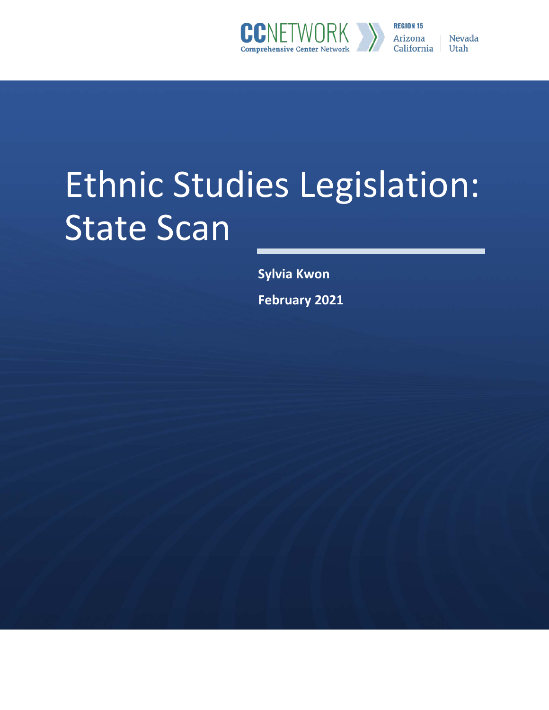

**REGION 15 Nevada Arizona** California Utah

# Ethnic Studies Legislation: State Scan

**Sylvia Kwon** 

**February 2021**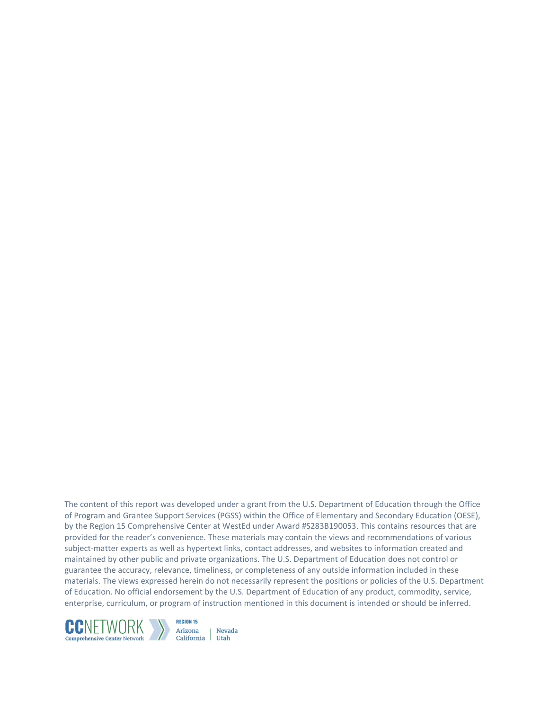The content of this report was developed under a grant from the U.S. Department of Education through the Office of Program and Grantee Support Services (PGSS) within the Office of Elementary and Secondary Education (OESE), by the Region 15 Comprehensive Center at WestEd under Award #S283B190053. This contains resources that are provided for the reader's convenience. These materials may contain the views and recommendations of various subject-matter experts as well as hypertext links, contact addresses, and websites to information created and maintained by other public and private organizations. The U.S. Department of Education does not control or guarantee the accuracy, relevance, timeliness, or completeness of any outside information included in these materials. The views expressed herein do not necessarily represent the positions or policies of the U.S. Department of Education. No official endorsement by the U.S. Department of Education of any product, commodity, service, enterprise, curriculum, or program of instruction mentioned in this document is intended or should be inferred.



**REGION 15** Arizona Nevada California Utah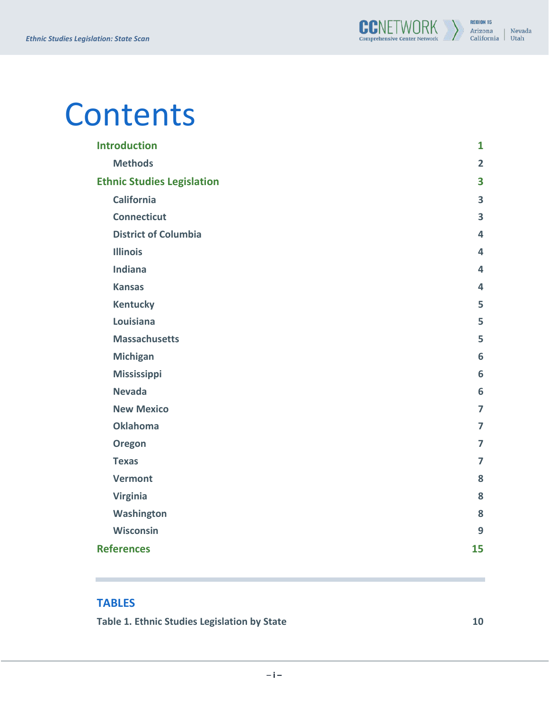# Contents

| <b>Introduction</b>               | $\mathbf{1}$   |
|-----------------------------------|----------------|
| <b>Methods</b>                    | $\overline{2}$ |
| <b>Ethnic Studies Legislation</b> | 3              |
| <b>California</b>                 | 3              |
| <b>Connecticut</b>                | 3              |
| <b>District of Columbia</b>       | 4              |
| <b>Illinois</b>                   | 4              |
| Indiana                           | 4              |
| <b>Kansas</b>                     | 4              |
| <b>Kentucky</b>                   | 5              |
| Louisiana                         | 5              |
| <b>Massachusetts</b>              | 5              |
| <b>Michigan</b>                   | 6              |
| <b>Mississippi</b>                | 6              |
| <b>Nevada</b>                     | 6              |
| <b>New Mexico</b>                 | $\overline{7}$ |
| <b>Oklahoma</b>                   | $\overline{ }$ |
| Oregon                            | $\overline{7}$ |
| <b>Texas</b>                      | $\overline{ }$ |
| <b>Vermont</b>                    | 8              |
| <b>Virginia</b>                   | 8              |
| Washington                        | 8              |
| Wisconsin                         | 9              |
| <b>References</b>                 | 15             |

#### **TABLES**

**[Table 1. Ethnic Studies Legislation by State](#page-12-0) [10](#page-12-0)**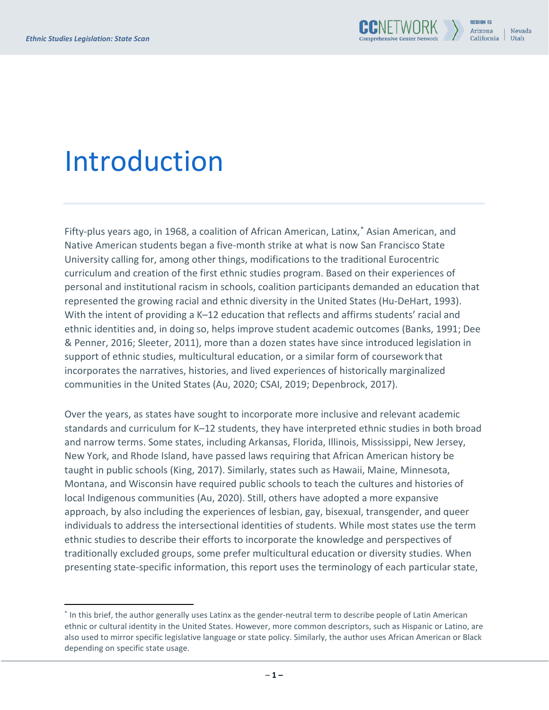# <span id="page-3-0"></span>Introduction

Fifty-plus years ago, in 1968, a coalition of African American, Latinx,[\\*](#page-3-1) Asian American, and Native American students began a five-month strike at what is now San Francisco State University calling for, among other things, modifications to the traditional Eurocentric curriculum and creation of the first ethnic studies program. Based on their experiences of personal and institutional racism in schools, coalition participants demanded an education that represented the growing racial and ethnic diversity in the United States (Hu-DeHart, 1993). With the intent of providing a K-12 education that reflects and affirms students' racial and ethnic identities and, in doing so, helps improve student academic outcomes (Banks, 1991; Dee & Penner, 2016; Sleeter, 2011), more than a dozen states have since introduced legislation in support of ethnic studies, multicultural education, or a similar form of coursework that incorporates the narratives, histories, and lived experiences of historically marginalized communities in the United States (Au, 2020; CSAI, 2019; Depenbrock, 2017).

Over the years, as states have sought to incorporate more inclusive and relevant academic standards and curriculum for K–12 students, they have interpreted ethnic studies in both broad and narrow terms. Some states, including Arkansas, Florida, Illinois, Mississippi, New Jersey, New York, and Rhode Island, have passed laws requiring that African American history be taught in public schools (King, 2017). Similarly, states such as Hawaii, Maine, Minnesota, Montana, and Wisconsin have required public schools to teach the cultures and histories of local Indigenous communities (Au, 2020). Still, others have adopted a more expansive approach, by also including the experiences of lesbian, gay, bisexual, transgender, and queer individuals to address the intersectional identities of students. While most states use the term ethnic studies to describe their efforts to incorporate the knowledge and perspectives of traditionally excluded groups, some prefer multicultural education or diversity studies. When presenting state-specific information, this report uses the terminology of each particular state,

<span id="page-3-1"></span><sup>\*</sup> In this brief, the author generally uses Latinx as the gender-neutral term to describe people of Latin American ethnic or cultural identity in the United States. However, more common descriptors, such as Hispanic or Latino, are also used to mirror specific legislative language or state policy. Similarly, the author uses African American or Black depending on specific state usage.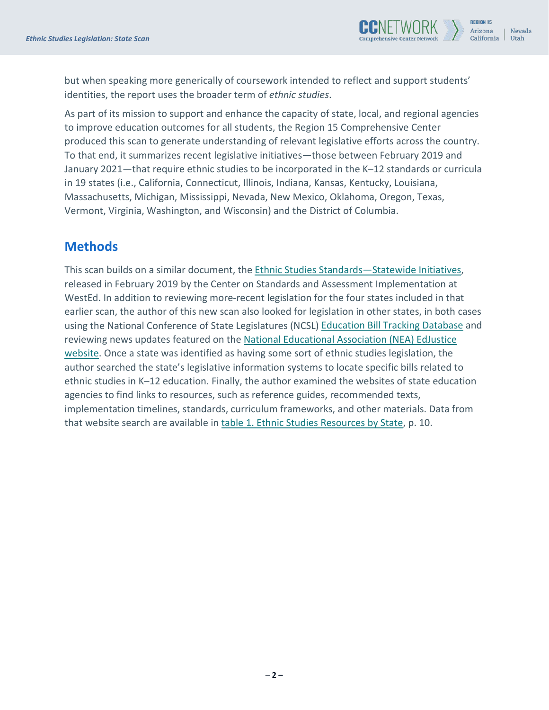

but when speaking more generically of coursework intended to reflect and support students' identities, the report uses the broader term of *ethnic studies*.

As part of its mission to support and enhance the capacity of state, local, and regional agencies to improve education outcomes for all students, the Region 15 Comprehensive Center produced this scan to generate understanding of relevant legislative efforts across the country. To that end, it summarizes recent legislative initiatives—those between February 2019 and January 2021—that require ethnic studies to be incorporated in the K–12 standards or curricula in 19 states (i.e., California, Connecticut, Illinois, Indiana, Kansas, Kentucky, Louisiana, Massachusetts, Michigan, Mississippi, Nevada, New Mexico, Oklahoma, Oregon, Texas, Vermont, Virginia, Washington, and Wisconsin) and the District of Columbia.

#### <span id="page-4-0"></span>**Methods**

This scan builds on a similar document, the [Ethnic Studies Standards—Statewide Initiatives,](https://files.eric.ed.gov/fulltext/ED597332.pdf) released in February 2019 by the Center on Standards and Assessment Implementation at WestEd. In addition to reviewing more-recent legislation for the four states included in that earlier scan, the author of this new scan also looked for legislation in other states, in both cases using the National Conference of State Legislatures (NCSL) [Education Bill Tracking Database](https://www.ncsl.org/research/education/education-bill-tracking-database.aspx) and reviewing news updates featured on the National Educational Association (NEA) EdJustice [website.](https://neaedjustice.org/) Once a state was identified as having some sort of ethnic studies legislation, the author searched the state's legislative information systems to locate specific bills related to ethnic studies in K–12 education. Finally, the author examined the websites of state education agencies to find links to resources, such as reference guides, recommended texts, implementation timelines, standards, curriculum frameworks, and other materials. Data from that website search are available in [table 1. Ethnic Studies Resources](#page-12-0) [by State,](#page-12-0) p. 10.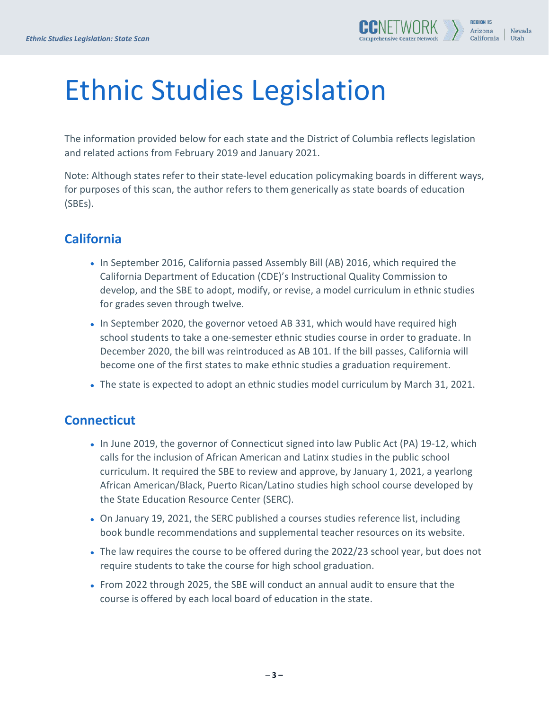# <span id="page-5-0"></span>Ethnic Studies Legislation

The information provided below for each state and the District of Columbia reflects legislation and related actions from February 2019 and January 2021.

Note: Although states refer to their state-level education policymaking boards in different ways, for purposes of this scan, the author refers to them generically as state boards of education (SBEs).

# <span id="page-5-1"></span>**California**

- In September 2016, California passed Assembly Bill (AB) 2016, which required the California Department of Education (CDE)'s Instructional Quality Commission to develop, and the SBE to adopt, modify, or revise, a model curriculum in ethnic studies for grades seven through twelve.
- In September 2020, the governor vetoed AB 331, which would have required high school students to take a one-semester ethnic studies course in order to graduate. In December 2020, the bill was reintroduced as AB 101. If the bill passes, California will become one of the first states to make ethnic studies a graduation requirement.
- The state is expected to adopt an ethnic studies model curriculum by March 31, 2021.

#### <span id="page-5-2"></span>**Connecticut**

- In June 2019, the governor of Connecticut signed into law Public Act (PA) 19-12, which calls for the inclusion of African American and Latinx studies in the public school curriculum. It required the SBE to review and approve, by January 1, 2021, a yearlong African American/Black, Puerto Rican/Latino studies high school course developed by the State Education Resource Center (SERC).
- On January 19, 2021, the SERC published a courses studies reference list, including book bundle recommendations and supplemental teacher resources on its website.
- The law requires the course to be offered during the 2022/23 school year, but does not require students to take the course for high school graduation.
- <span id="page-5-3"></span>• From 2022 through 2025, the SBE will conduct an annual audit to ensure that the course is offered by each local board of education in the state.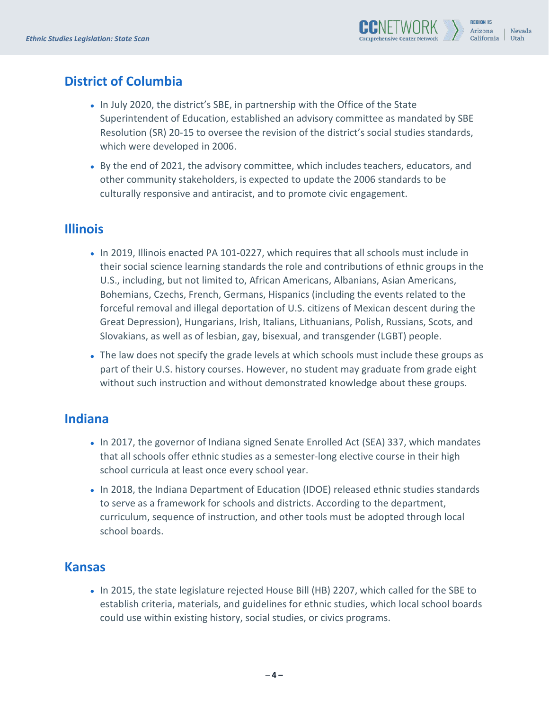# **District of Columbia**

- In July 2020, the district's SBE, in partnership with the Office of the State Superintendent of Education, established an advisory committee as mandated by SBE Resolution (SR) 20-15 to oversee the revision of the district's social studies standards, which were developed in 2006.
- By the end of 2021, the advisory committee, which includes teachers, educators, and other community stakeholders, is expected to update the 2006 standards to be culturally responsive and antiracist, and to promote civic engagement.

### <span id="page-6-0"></span>**Illinois**

- In 2019, Illinois enacted PA 101-0227, which requires that all schools must include in their social science learning standards the role and contributions of ethnic groups in the U.S., including, but not limited to, African Americans, Albanians, Asian Americans, Bohemians, Czechs, French, Germans, Hispanics (including the events related to the forceful removal and illegal deportation of U.S. citizens of Mexican descent during the Great Depression), Hungarians, Irish, Italians, Lithuanians, Polish, Russians, Scots, and Slovakians, as well as of lesbian, gay, bisexual, and transgender (LGBT) people.
- The law does not specify the grade levels at which schools must include these groups as part of their U.S. history courses. However, no student may graduate from grade eight without such instruction and without demonstrated knowledge about these groups.

#### <span id="page-6-1"></span>**Indiana**

- In 2017, the governor of Indiana signed Senate Enrolled Act (SEA) 337, which mandates that all schools offer ethnic studies as a semester-long elective course in their high school curricula at least once every school year.
- In 2018, the Indiana Department of Education (IDOE) released ethnic studies standards to serve as a framework for schools and districts. According to the department, curriculum, sequence of instruction, and other tools must be adopted through local school boards.

#### <span id="page-6-2"></span>**Kansas**

• In 2015, the state legislature rejected House Bill (HB) 2207, which called for the SBE to establish criteria, materials, and guidelines for ethnic studies, which local school boards could use within existing history, social studies, or civics programs.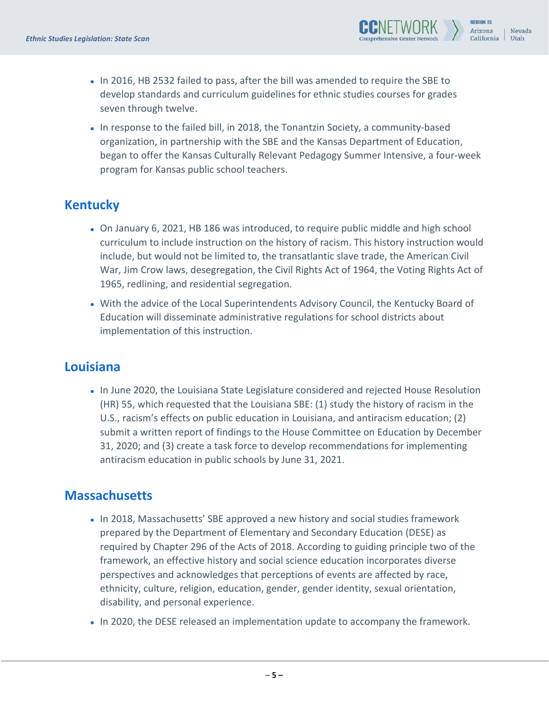• In 2016, HB 2532 failed to pass, after the bill was amended to require the SBE to develop standards and curriculum guidelines for ethnic studies courses for grades seven through twelve.

Arizona

California

Nevada

Utah

• In response to the failed bill, in 2018, the Tonantzin Society, a community-based organization, in partnership with the SBE and the Kansas Department of Education, began to offer the Kansas Culturally Relevant Pedagogy Summer Intensive, a four-week program for Kansas public school teachers.

### <span id="page-7-0"></span>**Kentucky**

- On January 6, 2021, HB 186 was introduced, to require public middle and high school curriculum to include instruction on the history of racism. This history instruction would include, but would not be limited to, the transatlantic slave trade, the American Civil War, Jim Crow laws, desegregation, the Civil Rights Act of 1964, the Voting Rights Act of 1965, redlining, and residential segregation.
- With the advice of the Local Superintendents Advisory Council, the Kentucky Board of Education will disseminate administrative regulations for school districts about implementation of this instruction.

#### <span id="page-7-1"></span>**Louisiana**

• In June 2020, the Louisiana State Legislature considered and rejected House Resolution (HR) 55, which requested that the Louisiana SBE: (1) study the history of racism in the U.S., racism's effects on public education in Louisiana, and antiracism education; (2) submit a written report of findings to the House Committee on Education by December 31, 2020; and (3) create a task force to develop recommendations for implementing antiracism education in public schools by June 31, 2021.

# <span id="page-7-2"></span>**Massachusetts**

- In 2018, Massachusetts' SBE approved a new history and social studies framework prepared by the Department of Elementary and Secondary Education (DESE) as required by Chapter 296 of the Acts of 2018. According to guiding principle two of the framework, an effective history and social science education incorporates diverse perspectives and acknowledges that perceptions of events are affected by race, ethnicity, culture, religion, education, gender, gender identity, sexual orientation, disability, and personal experience.
- In 2020, the DESE released an implementation update to accompany the framework.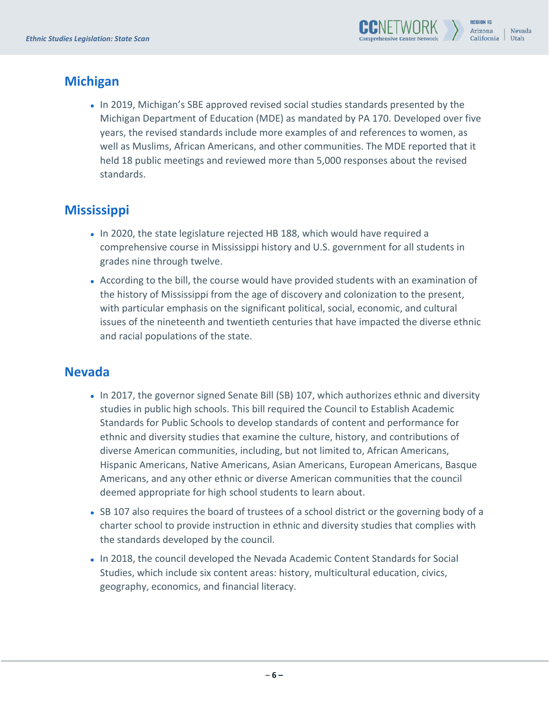

### <span id="page-8-0"></span>**Michigan**

• In 2019, Michigan's SBE approved revised social studies standards presented by the Michigan Department of Education (MDE) as mandated by PA 170. Developed over five years, the revised standards include more examples of and references to women, as well as Muslims, African Americans, and other communities. The MDE reported that it held 18 public meetings and reviewed more than 5,000 responses about the revised standards.

# <span id="page-8-1"></span>**Mississippi**

- In 2020, the state legislature rejected HB 188, which would have required a comprehensive course in Mississippi history and U.S. government for all students in grades nine through twelve.
- According to the bill, the course would have provided students with an examination of the history of Mississippi from the age of discovery and colonization to the present, with particular emphasis on the significant political, social, economic, and cultural issues of the nineteenth and twentieth centuries that have impacted the diverse ethnic and racial populations of the state.

#### <span id="page-8-2"></span>**Nevada**

- In 2017, the governor signed Senate Bill (SB) 107, which authorizes ethnic and diversity studies in public high schools. This bill required the Council to Establish Academic Standards for Public Schools to develop standards of content and performance for ethnic and diversity studies that examine the culture, history, and contributions of diverse American communities, including, but not limited to, African Americans, Hispanic Americans, Native Americans, Asian Americans, European Americans, Basque Americans, and any other ethnic or diverse American communities that the council deemed appropriate for high school students to learn about.
- SB 107 also requires the board of trustees of a school district or the governing body of a charter school to provide instruction in ethnic and diversity studies that complies with the standards developed by the council.
- In 2018, the council developed the Nevada Academic Content Standards for Social Studies, which include six content areas: history, multicultural education, civics, geography, economics, and financial literacy.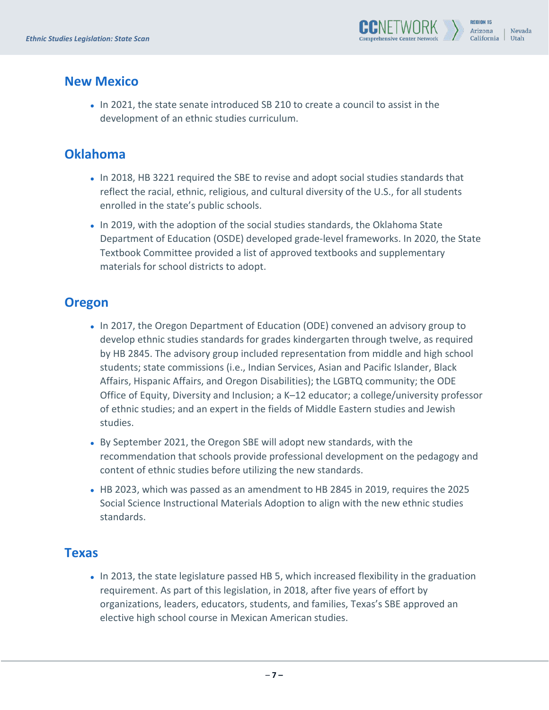

#### <span id="page-9-0"></span>**New Mexico**

• In 2021, the state senate introduced SB 210 to create a council to assist in the development of an ethnic studies curriculum.

### <span id="page-9-1"></span>**Oklahoma**

- In 2018, HB 3221 required the SBE to revise and adopt social studies standards that reflect the racial, ethnic, religious, and cultural diversity of the U.S., for all students enrolled in the state's public schools.
- In 2019, with the adoption of the social studies standards, the Oklahoma State Department of Education (OSDE) developed grade-level frameworks. In 2020, the State Textbook Committee provided a list of approved textbooks and supplementary materials for school districts to adopt.

### <span id="page-9-2"></span>**Oregon**

- In 2017, the Oregon Department of Education (ODE) convened an advisory group to develop ethnic studies standards for grades kindergarten through twelve, as required by HB 2845. The advisory group included representation from middle and high school students; state commissions (i.e., Indian Services, Asian and Pacific Islander, Black Affairs, Hispanic Affairs, and Oregon Disabilities); the LGBTQ community; the ODE Office of Equity, Diversity and Inclusion; a K–12 educator; a college/university professor of ethnic studies; and an expert in the fields of Middle Eastern studies and Jewish studies.
- By September 2021, the Oregon SBE will adopt new standards, with the recommendation that schools provide professional development on the pedagogy and content of ethnic studies before utilizing the new standards.
- HB 2023, which was passed as an amendment to HB 2845 in 2019, requires the 2025 Social Science Instructional Materials Adoption to align with the new ethnic studies standards.

#### <span id="page-9-3"></span>**Texas**

• In 2013, the state legislature passed HB 5, which increased flexibility in the graduation requirement. As part of this legislation, in 2018, after five years of effort by organizations, leaders, educators, students, and families, Texas's SBE approved an elective high school course in Mexican American studies.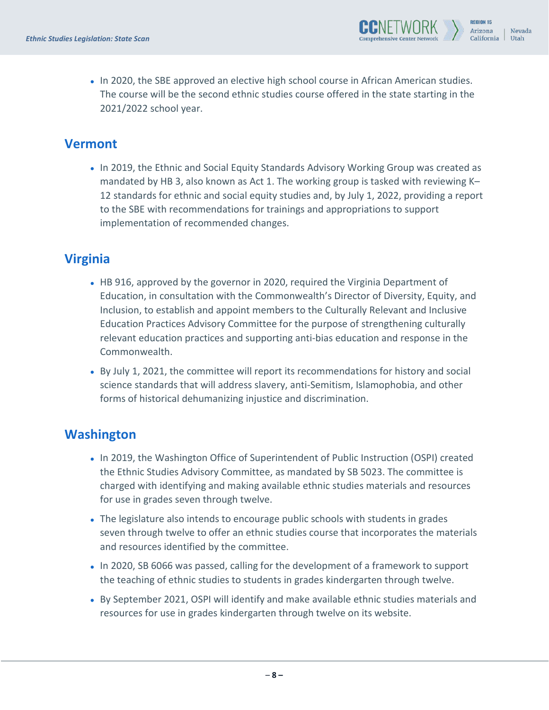

• In 2020, the SBE approved an elective high school course in African American studies. The course will be the second ethnic studies course offered in the state starting in the 2021/2022 school year.

#### <span id="page-10-0"></span>**Vermont**

• In 2019, the Ethnic and Social Equity Standards Advisory Working Group was created as mandated by HB 3, also known as Act 1. The working group is tasked with reviewing K– 12 standards for ethnic and social equity studies and, by July 1, 2022, providing a report to the SBE with recommendations for trainings and appropriations to support implementation of recommended changes.

# <span id="page-10-1"></span>**Virginia**

- HB 916, approved by the governor in 2020, required the Virginia Department of Education, in consultation with the Commonwealth's Director of Diversity, Equity, and Inclusion, to establish and appoint members to the Culturally Relevant and Inclusive Education Practices Advisory Committee for the purpose of strengthening culturally relevant education practices and supporting anti-bias education and response in the Commonwealth.
- By July 1, 2021, the committee will report its recommendations for history and social science standards that will address slavery, anti-Semitism, Islamophobia, and other forms of historical dehumanizing injustice and discrimination.

# <span id="page-10-2"></span>**Washington**

- In 2019, the Washington Office of Superintendent of Public Instruction (OSPI) created the Ethnic Studies Advisory Committee, as mandated by SB 5023. The committee is charged with identifying and making available ethnic studies materials and resources for use in grades seven through twelve.
- The legislature also intends to encourage public schools with students in grades seven through twelve to offer an ethnic studies course that incorporates the materials and resources identified by the committee.
- In 2020, SB 6066 was passed, calling for the development of a framework to support the teaching of ethnic studies to students in grades kindergarten through twelve.
- By September 2021, OSPI will identify and make available ethnic studies materials and resources for use in grades kindergarten through twelve on its website.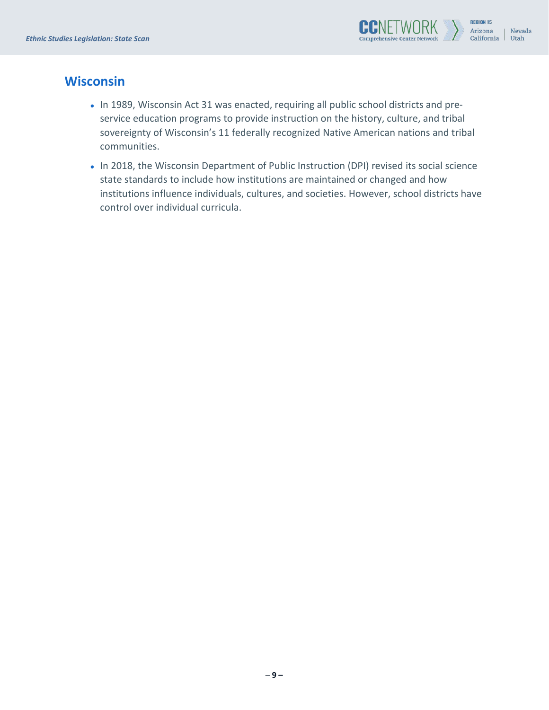

#### <span id="page-11-0"></span>**Wisconsin**

- In 1989, Wisconsin Act 31 was enacted, requiring all public school districts and preservice education programs to provide instruction on the history, culture, and tribal sovereignty of Wisconsin's 11 federally recognized Native American nations and tribal communities.
- In 2018, the Wisconsin Department of Public Instruction (DPI) revised its social science state standards to include how institutions are maintained or changed and how institutions influence individuals, cultures, and societies. However, school districts have control over individual curricula.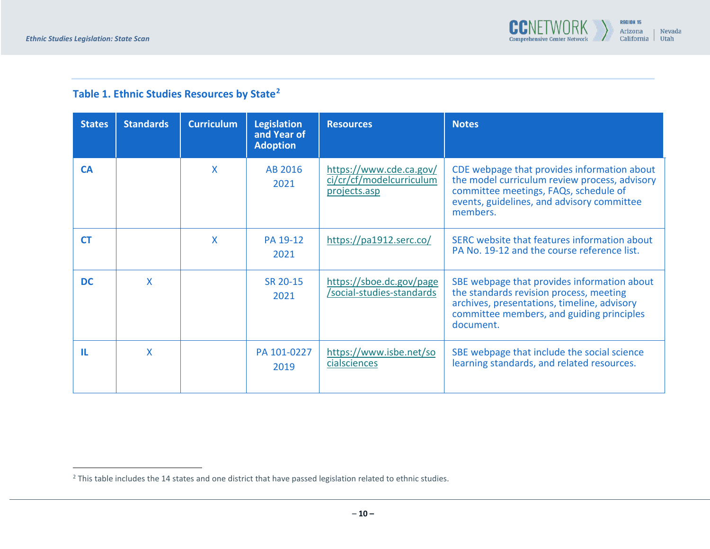<span id="page-12-1"></span>

# **Table 1. Ethnic Studies Resources by State[2](#page-12-1)**

<span id="page-12-0"></span>

| <b>States</b> | <b>Standards</b> | <b>Curriculum</b> | <b>Legislation</b><br>and Year of<br><b>Adoption</b> | <b>Resources</b>                                                    | <b>Notes</b>                                                                                                                                                                                    |
|---------------|------------------|-------------------|------------------------------------------------------|---------------------------------------------------------------------|-------------------------------------------------------------------------------------------------------------------------------------------------------------------------------------------------|
| <b>CA</b>     |                  | X                 | AB 2016<br>2021                                      | https://www.cde.ca.gov/<br>ci/cr/cf/modelcurriculum<br>projects.asp | CDE webpage that provides information about<br>the model curriculum review process, advisory<br>committee meetings, FAQs, schedule of<br>events, guidelines, and advisory committee<br>members. |
| <b>CT</b>     |                  | X                 | PA 19-12<br>2021                                     | https://pa1912.serc.co/                                             | SERC website that features information about<br>PA No. 19-12 and the course reference list.                                                                                                     |
| DC.           | X                |                   | SR 20-15<br>2021                                     | https://sboe.dc.gov/page<br>/social-studies-standards               | SBE webpage that provides information about<br>the standards revision process, meeting<br>archives, presentations, timeline, advisory<br>committee members, and guiding principles<br>document. |
| ш             | X                |                   | PA 101-0227<br>2019                                  | https://www.isbe.net/so<br>cialsciences                             | SBE webpage that include the social science<br>learning standards, and related resources.                                                                                                       |

 $2$  This table includes the 14 states and one district that have passed legislation related to ethnic studies.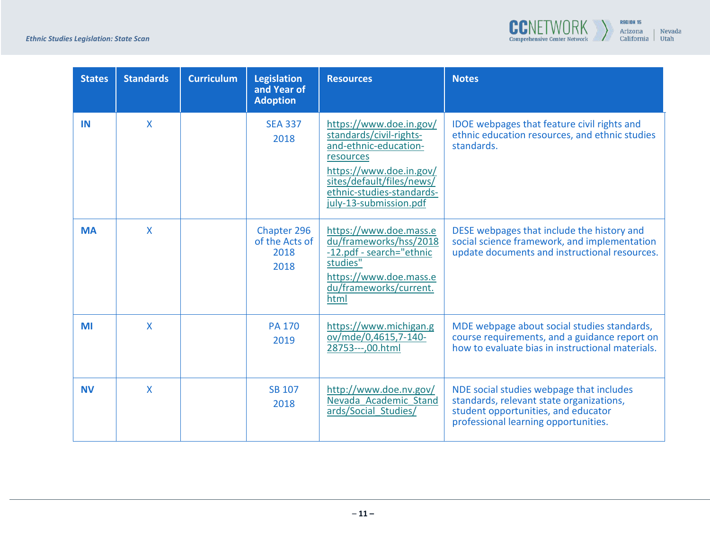

| <b>States</b> | <b>Standards</b> | <b>Curriculum</b> | <b>Legislation</b><br>and Year of<br><b>Adoption</b> | <b>Resources</b>                                                                                                                                                                                        | <b>Notes</b>                                                                                                                                                        |
|---------------|------------------|-------------------|------------------------------------------------------|---------------------------------------------------------------------------------------------------------------------------------------------------------------------------------------------------------|---------------------------------------------------------------------------------------------------------------------------------------------------------------------|
| IN            | $\mathsf{X}$     |                   | <b>SEA 337</b><br>2018                               | https://www.doe.in.gov/<br>standards/civil-rights-<br>and-ethnic-education-<br>resources<br>https://www.doe.in.gov/<br>sites/default/files/news/<br>ethnic-studies-standards-<br>july-13-submission.pdf | <b>IDOE</b> webpages that feature civil rights and<br>ethnic education resources, and ethnic studies<br>standards.                                                  |
| <b>MA</b>     | $\mathsf{X}$     |                   | Chapter 296<br>of the Acts of<br>2018<br>2018        | https://www.doe.mass.e<br>du/frameworks/hss/2018<br>-12.pdf - search="ethnic<br>studies"<br>https://www.doe.mass.e<br>du/frameworks/current.<br>html                                                    | DESE webpages that include the history and<br>social science framework, and implementation<br>update documents and instructional resources.                         |
| MI            | $\mathsf{X}$     |                   | <b>PA 170</b><br>2019                                | https://www.michigan.g<br>ov/mde/0,4615,7-140-<br>28753---,00.html                                                                                                                                      | MDE webpage about social studies standards,<br>course requirements, and a guidance report on<br>how to evaluate bias in instructional materials.                    |
| <b>NV</b>     | $\mathsf{X}$     |                   | <b>SB 107</b><br>2018                                | http://www.doe.nv.gov/<br>Nevada Academic Stand<br>ards/Social Studies/                                                                                                                                 | NDE social studies webpage that includes<br>standards, relevant state organizations,<br>student opportunities, and educator<br>professional learning opportunities. |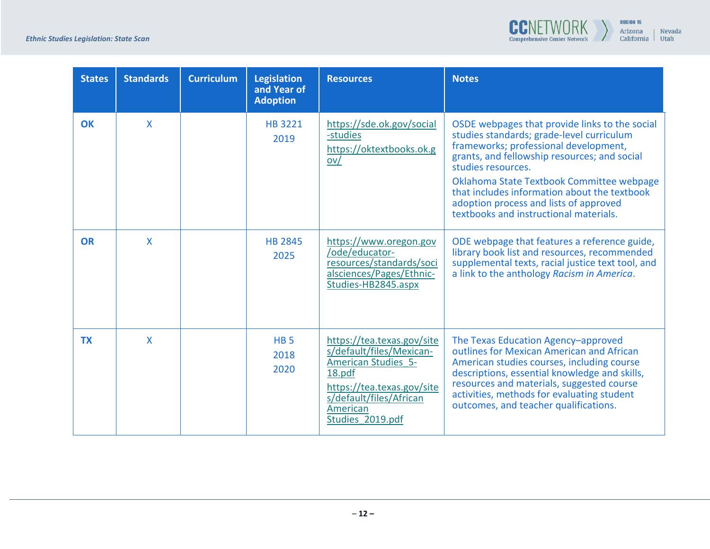

| <b>States</b> | <b>Standards</b> | <b>Curriculum</b> | Legislation<br>and Year of<br><b>Adoption</b> | <b>Resources</b>                                                                                                                                                                        | <b>Notes</b>                                                                                                                                                                                                                                                                                                                                                                                |
|---------------|------------------|-------------------|-----------------------------------------------|-----------------------------------------------------------------------------------------------------------------------------------------------------------------------------------------|---------------------------------------------------------------------------------------------------------------------------------------------------------------------------------------------------------------------------------------------------------------------------------------------------------------------------------------------------------------------------------------------|
| <b>OK</b>     | X                |                   | <b>HB 3221</b><br>2019                        | https://sde.ok.gov/social<br>-studies<br>https://oktextbooks.ok.g<br>$ov/$                                                                                                              | OSDE webpages that provide links to the social<br>studies standards; grade-level curriculum<br>frameworks; professional development,<br>grants, and fellowship resources; and social<br>studies resources.<br>Oklahoma State Textbook Committee webpage<br>that includes information about the textbook<br>adoption process and lists of approved<br>textbooks and instructional materials. |
| <b>OR</b>     | $\mathsf{X}$     |                   | <b>HB 2845</b><br>2025                        | https://www.oregon.gov<br>/ode/educator-<br>resources/standards/soci<br>alsciences/Pages/Ethnic-<br>Studies-HB2845.aspx                                                                 | ODE webpage that features a reference guide,<br>library book list and resources, recommended<br>supplemental texts, racial justice text tool, and<br>a link to the anthology Racism in America.                                                                                                                                                                                             |
| <b>TX</b>     | $\mathsf{X}$     |                   | HB <sub>5</sub><br>2018<br>2020               | https://tea.texas.gov/site<br>s/default/files/Mexican-<br><b>American Studies 5-</b><br>18.pdf<br>https://tea.texas.gov/site<br>s/default/files/African<br>American<br>Studies 2019.pdf | The Texas Education Agency-approved<br>outlines for Mexican American and African<br>American studies courses, including course<br>descriptions, essential knowledge and skills,<br>resources and materials, suggested course<br>activities, methods for evaluating student<br>outcomes, and teacher qualifications.                                                                         |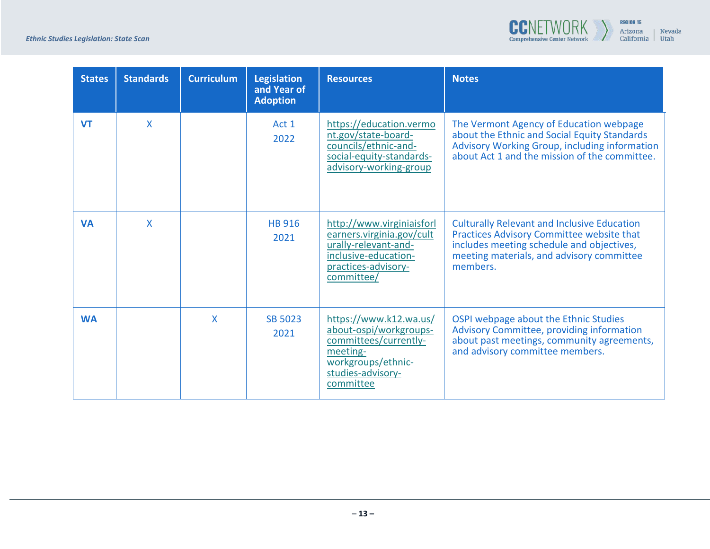

| <b>States</b> | <b>Standards</b> | <b>Curriculum</b> | <b>Legislation</b><br>and Year of<br><b>Adoption</b> | <b>Resources</b>                                                                                                                              | <b>Notes</b>                                                                                                                                                                                          |
|---------------|------------------|-------------------|------------------------------------------------------|-----------------------------------------------------------------------------------------------------------------------------------------------|-------------------------------------------------------------------------------------------------------------------------------------------------------------------------------------------------------|
| <b>VT</b>     | $\mathsf{X}$     |                   | Act 1<br>2022                                        | https://education.vermo<br>nt.gov/state-board-<br>councils/ethnic-and-<br>social-equity-standards-<br>advisory-working-group                  | The Vermont Agency of Education webpage<br>about the Ethnic and Social Equity Standards<br>Advisory Working Group, including information<br>about Act 1 and the mission of the committee.             |
| <b>VA</b>     | X                |                   | <b>HB 916</b><br>2021                                | http://www.virginiaisforl<br>earners.virginia.gov/cult<br>urally-relevant-and-<br>inclusive-education-<br>practices-advisory-<br>committee/   | <b>Culturally Relevant and Inclusive Education</b><br>Practices Advisory Committee website that<br>includes meeting schedule and objectives,<br>meeting materials, and advisory committee<br>members. |
| <b>WA</b>     |                  | $\mathsf{X}$      | <b>SB 5023</b><br>2021                               | https://www.k12.wa.us/<br>about-ospi/workgroups-<br>committees/currently-<br>meeting-<br>workgroups/ethnic-<br>studies-advisory-<br>committee | OSPI webpage about the Ethnic Studies<br>Advisory Committee, providing information<br>about past meetings, community agreements,<br>and advisory committee members.                                   |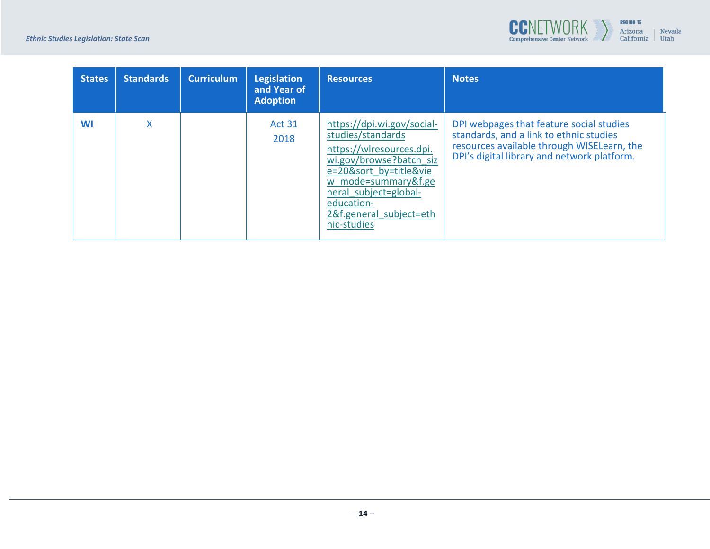

| <b>States</b> | <b>Standards</b> | <b>Curriculum</b> | <b>Legislation</b><br>and Year of<br><b>Adoption</b> | <b>Resources</b>                                                                                                                                                                                                                         | Notes                                                                                                                                                                            |
|---------------|------------------|-------------------|------------------------------------------------------|------------------------------------------------------------------------------------------------------------------------------------------------------------------------------------------------------------------------------------------|----------------------------------------------------------------------------------------------------------------------------------------------------------------------------------|
| WI            | Χ                |                   | <b>Act 31</b><br>2018                                | https://dpi.wi.gov/social-<br>studies/standards<br>https://wlresources.dpi.<br>wi.gov/browse?batch siz<br>e=20&sort by=title&vie<br>w mode=summary&f.ge<br>neral subject=global-<br>education-<br>2&f.general subject=eth<br>nic-studies | DPI webpages that feature social studies<br>standards, and a link to ethnic studies<br>resources available through WISELearn, the<br>DPI's digital library and network platform. |